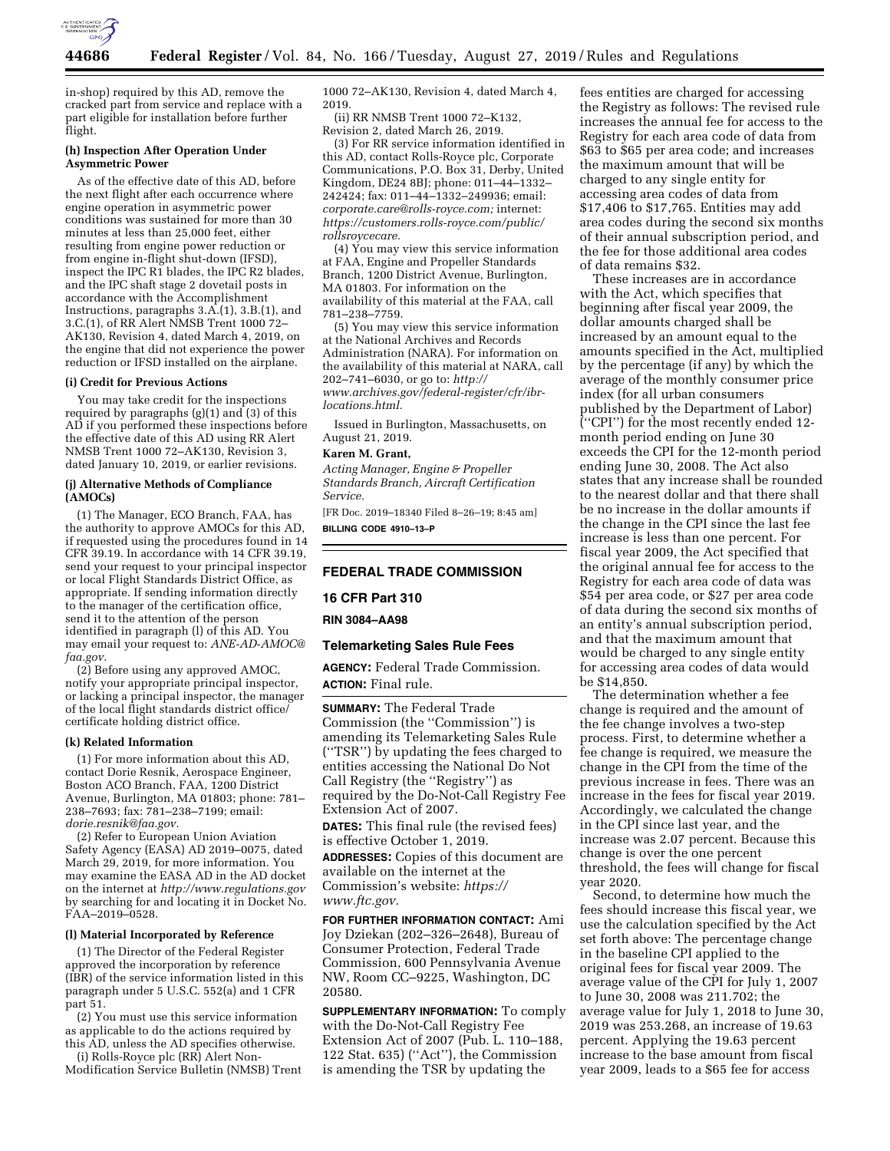

in-shop) required by this AD, remove the cracked part from service and replace with a part eligible for installation before further flight.

## **(h) Inspection After Operation Under Asymmetric Power**

As of the effective date of this AD, before the next flight after each occurrence where engine operation in asymmetric power conditions was sustained for more than 30 minutes at less than 25,000 feet, either resulting from engine power reduction or from engine in-flight shut-down (IFSD), inspect the IPC R1 blades, the IPC R2 blades, and the IPC shaft stage 2 dovetail posts in accordance with the Accomplishment Instructions, paragraphs 3.A.(1), 3.B.(1), and 3.C.(1), of RR Alert NMSB Trent 1000 72– AK130, Revision 4, dated March 4, 2019, on the engine that did not experience the power reduction or IFSD installed on the airplane.

## **(i) Credit for Previous Actions**

You may take credit for the inspections required by paragraphs  $(g)(1)$  and  $(3)$  of this AD if you performed these inspections before the effective date of this AD using RR Alert NMSB Trent 1000 72–AK130, Revision 3, dated January 10, 2019, or earlier revisions.

#### **(j) Alternative Methods of Compliance (AMOCs)**

(1) The Manager, ECO Branch, FAA, has the authority to approve AMOCs for this AD, if requested using the procedures found in 14 CFR 39.19. In accordance with 14 CFR 39.19, send your request to your principal inspector or local Flight Standards District Office, as appropriate. If sending information directly to the manager of the certification office, send it to the attention of the person identified in paragraph (l) of this AD. You may email your request to: *[ANE-AD-AMOC@](mailto:ANE-AD-AMOC@faa.gov) [faa.gov.](mailto:ANE-AD-AMOC@faa.gov)* 

(2) Before using any approved AMOC, notify your appropriate principal inspector, or lacking a principal inspector, the manager of the local flight standards district office/ certificate holding district office.

#### **(k) Related Information**

(1) For more information about this AD, contact Dorie Resnik, Aerospace Engineer, Boston ACO Branch, FAA, 1200 District Avenue, Burlington, MA 01803; phone: 781– 238–7693; fax: 781–238–7199; email: *[dorie.resnik@faa.gov.](mailto:dorie.resnik@faa.gov)* 

(2) Refer to European Union Aviation Safety Agency (EASA) AD 2019–0075, dated March 29, 2019, for more information. You may examine the EASA AD in the AD docket on the internet at *<http://www.regulations.gov>*  by searching for and locating it in Docket No. FAA–2019–0528.

#### **(l) Material Incorporated by Reference**

(1) The Director of the Federal Register approved the incorporation by reference (IBR) of the service information listed in this paragraph under 5 U.S.C. 552(a) and 1 CFR part 51.

(2) You must use this service information as applicable to do the actions required by this AD, unless the AD specifies otherwise.

(i) Rolls-Royce plc (RR) Alert Non-Modification Service Bulletin (NMSB) Trent 1000 72–AK130, Revision 4, dated March 4, 2019.

(ii) RR NMSB Trent 1000 72–K132, Revision 2, dated March 26, 2019.

(3) For RR service information identified in this AD, contact Rolls-Royce plc, Corporate Communications, P.O. Box 31, Derby, United Kingdom, DE24 8BJ; phone: 011–44–1332– 242424; fax: 011–44–1332–249936; email: *[corporate.care@rolls-royce.com;](mailto:corporate.care@rolls-royce.com)* internet: *[https://customers.rolls-royce.com/public/](https://customers.rolls-royce.com/public/rollsroycecare) [rollsroycecare.](https://customers.rolls-royce.com/public/rollsroycecare)* 

(4) You may view this service information at FAA, Engine and Propeller Standards Branch, 1200 District Avenue, Burlington, MA 01803. For information on the availability of this material at the FAA, call 781–238–7759.

(5) You may view this service information at the National Archives and Records Administration (NARA). For information on the availability of this material at NARA, call 202–741–6030, or go to: *[http://](http://www.archives.gov/federal-register/cfr/ibr-locations.html) [www.archives.gov/federal-register/cfr/ibr](http://www.archives.gov/federal-register/cfr/ibr-locations.html)[locations.html.](http://www.archives.gov/federal-register/cfr/ibr-locations.html)* 

Issued in Burlington, Massachusetts, on August 21, 2019.

#### **Karen M. Grant,**

*Acting Manager, Engine & Propeller Standards Branch, Aircraft Certification Service.* 

[FR Doc. 2019–18340 Filed 8–26–19; 8:45 am] **BILLING CODE 4910–13–P** 

#### **FEDERAL TRADE COMMISSION**

# **16 CFR Part 310**

**RIN 3084–AA98** 

## **Telemarketing Sales Rule Fees**

**AGENCY:** Federal Trade Commission. **ACTION:** Final rule.

**SUMMARY:** The Federal Trade Commission (the ''Commission'') is amending its Telemarketing Sales Rule (''TSR'') by updating the fees charged to entities accessing the National Do Not Call Registry (the ''Registry'') as required by the Do-Not-Call Registry Fee Extension Act of 2007.

**DATES:** This final rule (the revised fees) is effective October 1, 2019.

**ADDRESSES:** Copies of this document are available on the internet at the Commission's website: *[https://](https://www.ftc.gov) [www.ftc.gov.](https://www.ftc.gov)* 

**FOR FURTHER INFORMATION CONTACT:** Ami Joy Dziekan (202–326–2648), Bureau of Consumer Protection, Federal Trade Commission, 600 Pennsylvania Avenue NW, Room CC–9225, Washington, DC 20580.

**SUPPLEMENTARY INFORMATION:** To comply with the Do-Not-Call Registry Fee Extension Act of 2007 (Pub. L. 110–188, 122 Stat. 635) (''Act''), the Commission is amending the TSR by updating the

fees entities are charged for accessing the Registry as follows: The revised rule increases the annual fee for access to the Registry for each area code of data from \$63 to \$65 per area code; and increases the maximum amount that will be charged to any single entity for accessing area codes of data from \$17,406 to \$17,765. Entities may add area codes during the second six months of their annual subscription period, and the fee for those additional area codes of data remains \$32.

These increases are in accordance with the Act, which specifies that beginning after fiscal year 2009, the dollar amounts charged shall be increased by an amount equal to the amounts specified in the Act, multiplied by the percentage (if any) by which the average of the monthly consumer price index (for all urban consumers published by the Department of Labor) (''CPI'') for the most recently ended 12 month period ending on June 30 exceeds the CPI for the 12-month period ending June 30, 2008. The Act also states that any increase shall be rounded to the nearest dollar and that there shall be no increase in the dollar amounts if the change in the CPI since the last fee increase is less than one percent. For fiscal year 2009, the Act specified that the original annual fee for access to the Registry for each area code of data was \$54 per area code, or \$27 per area code of data during the second six months of an entity's annual subscription period, and that the maximum amount that would be charged to any single entity for accessing area codes of data would be \$14,850.

The determination whether a fee change is required and the amount of the fee change involves a two-step process. First, to determine whether a fee change is required, we measure the change in the CPI from the time of the previous increase in fees. There was an increase in the fees for fiscal year 2019. Accordingly, we calculated the change in the CPI since last year, and the increase was 2.07 percent. Because this change is over the one percent threshold, the fees will change for fiscal year 2020.

Second, to determine how much the fees should increase this fiscal year, we use the calculation specified by the Act set forth above: The percentage change in the baseline CPI applied to the original fees for fiscal year 2009. The average value of the CPI for July 1, 2007 to June 30, 2008 was 211.702; the average value for July 1, 2018 to June 30, 2019 was 253.268, an increase of 19.63 percent. Applying the 19.63 percent increase to the base amount from fiscal year 2009, leads to a \$65 fee for access